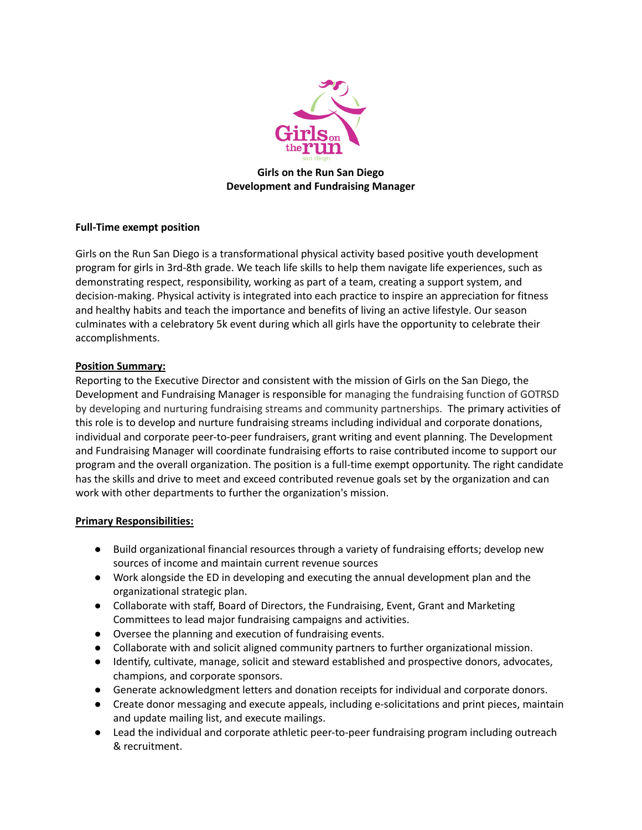

**Girls on the Run San Diego Development and Fundraising Manager**

# **Full-Time exempt position**

Girls on the Run San Diego is a transformational physical activity based positive youth development program for girls in 3rd-8th grade. We teach life skills to help them navigate life experiences, such as demonstrating respect, responsibility, working as part of a team, creating a support system, and decision-making. Physical activity is integrated into each practice to inspire an appreciation for fitness and healthy habits and teach the importance and benefits of living an active lifestyle. Our season culminates with a celebratory 5k event during which all girls have the opportunity to celebrate their accomplishments.

# **Position Summary:**

Reporting to the Executive Director and consistent with the mission of Girls on the San Diego, the Development and Fundraising Manager is responsible for managing the fundraising function of GOTRSD by developing and nurturing fundraising streams and community partnerships. The primary activities of this role is to develop and nurture fundraising streams including individual and corporate donations, individual and corporate peer-to-peer fundraisers, grant writing and event planning. The Development and Fundraising Manager will coordinate fundraising efforts to raise contributed income to support our program and the overall organization. The position is a full-time exempt opportunity. The right candidate has the skills and drive to meet and exceed contributed revenue goals set by the organization and can work with other departments to further the organization's mission.

# **Primary Responsibilities:**

- Build organizational financial resources through a variety of fundraising efforts; develop new sources of income and maintain current revenue sources
- Work alongside the ED in developing and executing the annual development plan and the organizational strategic plan.
- Collaborate with staff, Board of Directors, the Fundraising, Event, Grant and Marketing Committees to lead major fundraising campaigns and activities.
- Oversee the planning and execution of fundraising events.
- Collaborate with and solicit aligned community partners to further organizational mission.
- Identify, cultivate, manage, solicit and steward established and prospective donors, advocates, champions, and corporate sponsors.
- Generate acknowledgment letters and donation receipts for individual and corporate donors.
- Create donor messaging and execute appeals, including e-solicitations and print pieces, maintain and update mailing list, and execute mailings.
- Lead the individual and corporate athletic peer-to-peer fundraising program including outreach & recruitment.